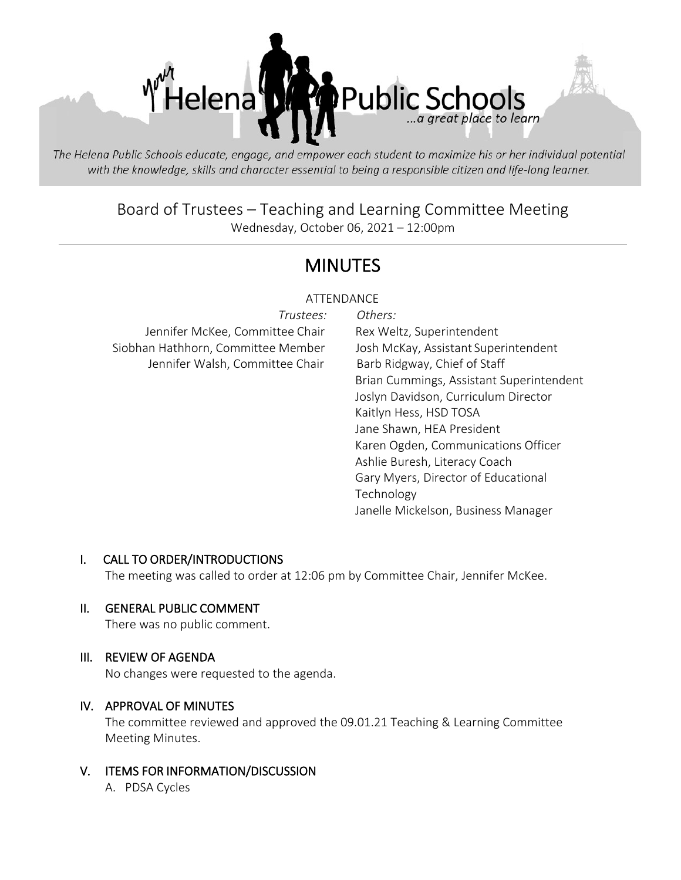

The Helena Public Schools educate, engage, and empower each student to maximize his or her individual potential with the knowledge, skills and character essential to being a responsible citizen and life-long learner.

# Board of Trustees – Teaching and Learning Committee Meeting Wednesday, October 06, 2021 – 12:00pm

# MINUTES

# ATTENDANCE

| Trustees:                          | Others:                                  |
|------------------------------------|------------------------------------------|
| Jennifer McKee, Committee Chair    | Rex Weltz, Superintendent                |
| Siobhan Hathhorn, Committee Member | Josh McKay, Assistant Superintendent     |
| Jennifer Walsh, Committee Chair    | Barb Ridgway, Chief of Staff             |
|                                    | Brian Cummings, Assistant Superintendent |
|                                    | Joslyn Davidson, Curriculum Director     |
|                                    | Kaitlyn Hess, HSD TOSA                   |
|                                    | Jane Shawn, HEA President                |
|                                    | Karen Ogden, Communications Officer      |
|                                    | Ashlie Buresh, Literacy Coach            |
|                                    | Gary Myers, Director of Educational      |
|                                    | Technology                               |
|                                    | Janelle Mickelson, Business Manager      |
|                                    |                                          |

# I. CALL TO ORDER/INTRODUCTIONS

The meeting was called to order at 12:06 pm by Committee Chair, Jennifer McKee.

#### II. GENERAL PUBLIC COMMENT

There was no public comment.

#### III. REVIEW OF AGENDA

No changes were requested to the agenda.

#### IV. APPROVAL OF MINUTES

The committee reviewed and approved the 09.01.21 Teaching & Learning Committee Meeting Minutes.

V. ITEMS FOR INFORMATION/DISCUSSION A. PDSA Cycles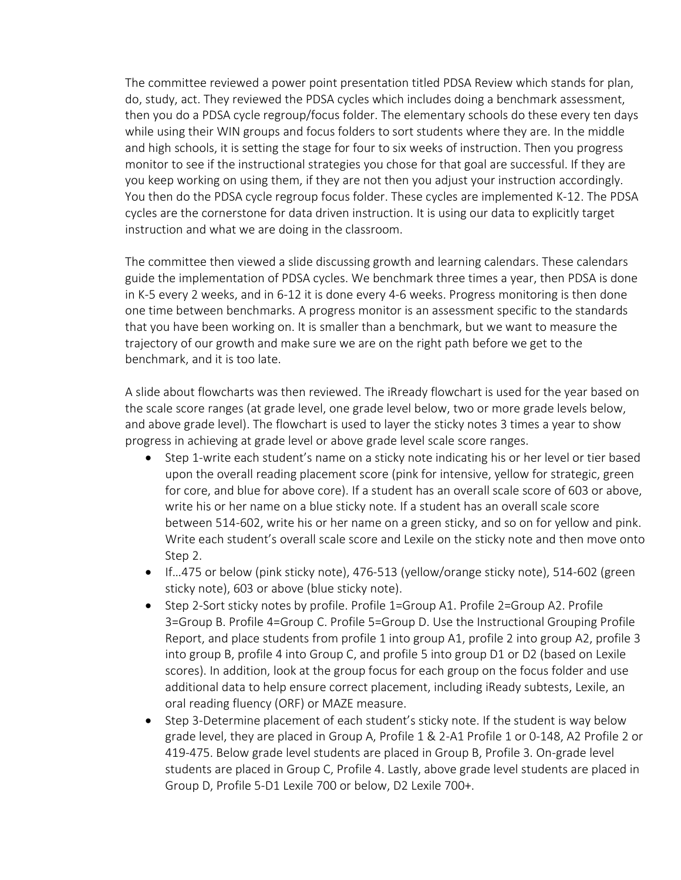The committee reviewed a power point presentation titled PDSA Review which stands for plan, do, study, act. They reviewed the PDSA cycles which includes doing a benchmark assessment, then you do a PDSA cycle regroup/focus folder. The elementary schools do these every ten days while using their WIN groups and focus folders to sort students where they are. In the middle and high schools, it is setting the stage for four to six weeks of instruction. Then you progress monitor to see if the instructional strategies you chose for that goal are successful. If they are you keep working on using them, if they are not then you adjust your instruction accordingly. You then do the PDSA cycle regroup focus folder. These cycles are implemented K-12. The PDSA cycles are the cornerstone for data driven instruction. It is using our data to explicitly target instruction and what we are doing in the classroom.

The committee then viewed a slide discussing growth and learning calendars. These calendars guide the implementation of PDSA cycles. We benchmark three times a year, then PDSA is done in K-5 every 2 weeks, and in 6-12 it is done every 4-6 weeks. Progress monitoring is then done one time between benchmarks. A progress monitor is an assessment specific to the standards that you have been working on. It is smaller than a benchmark, but we want to measure the trajectory of our growth and make sure we are on the right path before we get to the benchmark, and it is too late.

A slide about flowcharts was then reviewed. The iRready flowchart is used for the year based on the scale score ranges (at grade level, one grade level below, two or more grade levels below, and above grade level). The flowchart is used to layer the sticky notes 3 times a year to show progress in achieving at grade level or above grade level scale score ranges.

- Step 1-write each student's name on a sticky note indicating his or her level or tier based upon the overall reading placement score (pink for intensive, yellow for strategic, green for core, and blue for above core). If a student has an overall scale score of 603 or above, write his or her name on a blue sticky note. If a student has an overall scale score between 514-602, write his or her name on a green sticky, and so on for yellow and pink. Write each student's overall scale score and Lexile on the sticky note and then move onto Step 2.
- If…475 or below (pink sticky note), 476-513 (yellow/orange sticky note), 514-602 (green sticky note), 603 or above (blue sticky note).
- Step 2-Sort sticky notes by profile. Profile 1=Group A1. Profile 2=Group A2. Profile 3=Group B. Profile 4=Group C. Profile 5=Group D. Use the Instructional Grouping Profile Report, and place students from profile 1 into group A1, profile 2 into group A2, profile 3 into group B, profile 4 into Group C, and profile 5 into group D1 or D2 (based on Lexile scores). In addition, look at the group focus for each group on the focus folder and use additional data to help ensure correct placement, including iReady subtests, Lexile, an oral reading fluency (ORF) or MAZE measure.
- Step 3-Determine placement of each student's sticky note. If the student is way below grade level, they are placed in Group A, Profile 1 & 2-A1 Profile 1 or 0-148, A2 Profile 2 or 419-475. Below grade level students are placed in Group B, Profile 3. On-grade level students are placed in Group C, Profile 4. Lastly, above grade level students are placed in Group D, Profile 5-D1 Lexile 700 or below, D2 Lexile 700+.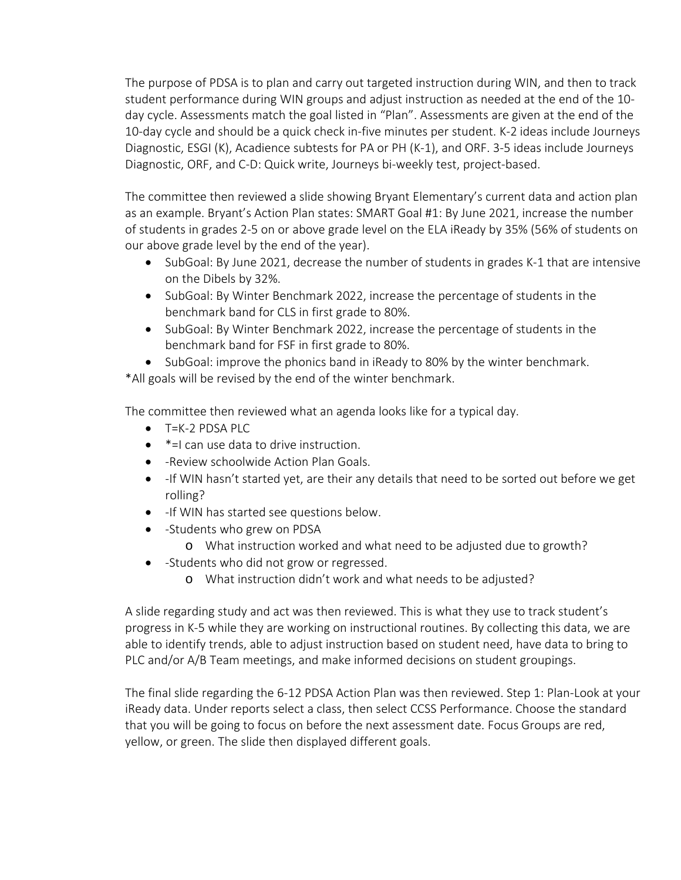The purpose of PDSA is to plan and carry out targeted instruction during WIN, and then to track student performance during WIN groups and adjust instruction as needed at the end of the 10 day cycle. Assessments match the goal listed in "Plan". Assessments are given at the end of the 10-day cycle and should be a quick check in-five minutes per student. K-2 ideas include Journeys Diagnostic, ESGI (K), Acadience subtests for PA or PH (K-1), and ORF. 3-5 ideas include Journeys Diagnostic, ORF, and C-D: Quick write, Journeys bi-weekly test, project-based.

The committee then reviewed a slide showing Bryant Elementary's current data and action plan as an example. Bryant's Action Plan states: SMART Goal #1: By June 2021, increase the number of students in grades 2-5 on or above grade level on the ELA iReady by 35% (56% of students on our above grade level by the end of the year).

- SubGoal: By June 2021, decrease the number of students in grades K-1 that are intensive on the Dibels by 32%.
- SubGoal: By Winter Benchmark 2022, increase the percentage of students in the benchmark band for CLS in first grade to 80%.
- SubGoal: By Winter Benchmark 2022, increase the percentage of students in the benchmark band for FSF in first grade to 80%.
- SubGoal: improve the phonics band in iReady to 80% by the winter benchmark.

\*All goals will be revised by the end of the winter benchmark.

The committee then reviewed what an agenda looks like for a typical day.

- T=K-2 PDSA PLC
- $*$ =I can use data to drive instruction.
- -Review schoolwide Action Plan Goals.
- If WIN hasn't started yet, are their any details that need to be sorted out before we get rolling?
- -If WIN has started see questions below.
- -Students who grew on PDSA
	- o What instruction worked and what need to be adjusted due to growth?
- -Students who did not grow or regressed.
	- o What instruction didn't work and what needs to be adjusted?

A slide regarding study and act was then reviewed. This is what they use to track student's progress in K-5 while they are working on instructional routines. By collecting this data, we are able to identify trends, able to adjust instruction based on student need, have data to bring to PLC and/or A/B Team meetings, and make informed decisions on student groupings.

The final slide regarding the 6-12 PDSA Action Plan was then reviewed. Step 1: Plan-Look at your iReady data. Under reports select a class, then select CCSS Performance. Choose the standard that you will be going to focus on before the next assessment date. Focus Groups are red, yellow, or green. The slide then displayed different goals.